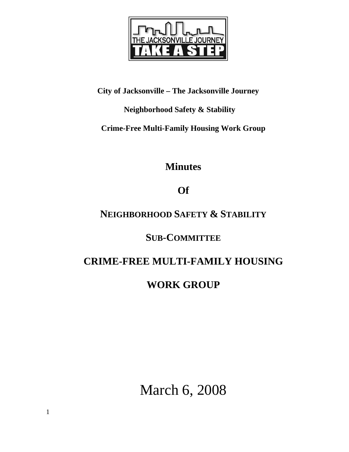

## **City of Jacksonville – The Jacksonville Journey**

## **Neighborhood Safety & Stability**

**Crime-Free Multi-Family Housing Work Group** 

**Minutes** 

# **Of**

# **NEIGHBORHOOD SAFETY & STABILITY**

# **SUB-COMMITTEE**

# **CRIME-FREE MULTI-FAMILY HOUSING**

# **WORK GROUP**

March 6, 2008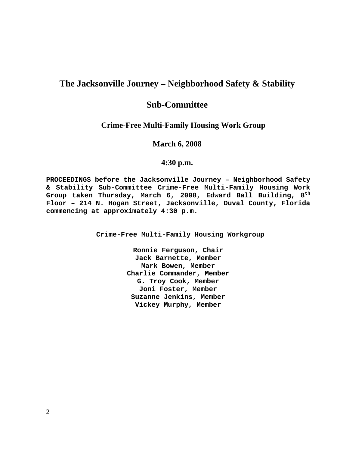## **The Jacksonville Journey – Neighborhood Safety & Stability**

## **Sub-Committee**

### **Crime-Free Multi-Family Housing Work Group**

**March 6, 2008** 

### **4:30 p.m.**

**PROCEEDINGS before the Jacksonville Journey – Neighborhood Safety & Stability Sub-Committee Crime-Free Multi-Family Housing Work Group taken Thursday, March 6, 2008, Edward Ball Building, 8th Floor – 214 N. Hogan Street, Jacksonville, Duval County, Florida commencing at approximately 4:30 p.m.** 

**Crime-Free Multi-Family Housing Workgroup** 

**Ronnie Ferguson, Chair Jack Barnette, Member Mark Bowen, Member Charlie Commander, Member G. Troy Cook, Member Joni Foster, Member Suzanne Jenkins, Member Vickey Murphy, Member**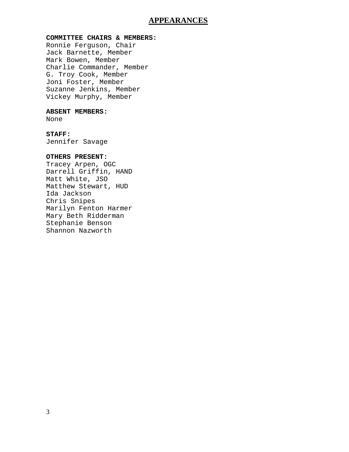### **APPEARANCES**

#### **COMMITTEE CHAIRS & MEMBERS:**

Ronnie Ferguson, Chair Jack Barnette, Member Mark Bowen, Member Charlie Commander, Member G. Troy Cook, Member Joni Foster, Member Suzanne Jenkins, Member Vickey Murphy, Member

#### **ABSENT MEMBERS:**

None

#### **STAFF:**

Jennifer Savage

### **OTHERS PRESENT:**

Tracey Arpen, OGC Darrell Griffin, HAND Matt White, JSO Matthew Stewart, HUD Ida Jackson Chris Snipes Marilyn Fenton Harmer Mary Beth Ridderman Stephanie Benson Shannon Nazworth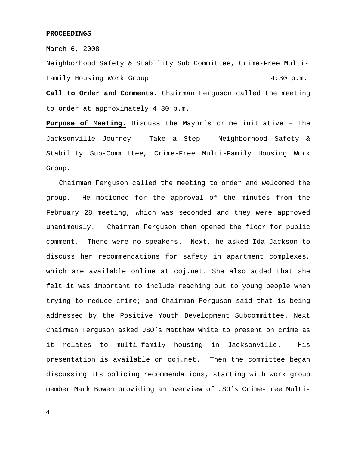#### **PROCEEDINGS**

March 6, 2008

Neighborhood Safety & Stability Sub Committee, Crime-Free Multi-Family Housing Work Group 1:30 p.m.

**Call to Order and Comments.** Chairman Ferguson called the meeting to order at approximately 4:30 p.m.

**Purpose of Meeting.** Discuss the Mayor's crime initiative – The Jacksonville Journey – Take a Step – Neighborhood Safety & Stability Sub-Committee, Crime-Free Multi-Family Housing Work Group.

 Chairman Ferguson called the meeting to order and welcomed the group. He motioned for the approval of the minutes from the February 28 meeting, which was seconded and they were approved unanimously. Chairman Ferguson then opened the floor for public comment. There were no speakers. Next, he asked Ida Jackson to discuss her recommendations for safety in apartment complexes, which are available online at coj.net. She also added that she felt it was important to include reaching out to young people when trying to reduce crime; and Chairman Ferguson said that is being addressed by the Positive Youth Development Subcommittee. Next Chairman Ferguson asked JSO's Matthew White to present on crime as it relates to multi-family housing in Jacksonville. His presentation is available on coj.net. Then the committee began discussing its policing recommendations, starting with work group member Mark Bowen providing an overview of JSO's Crime-Free Multi-

4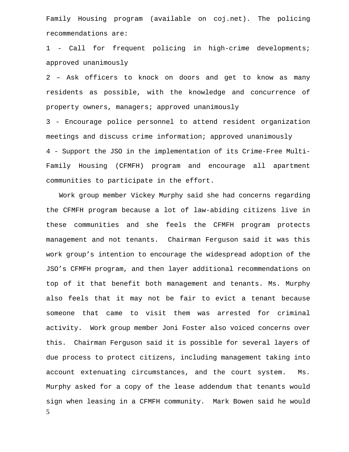Family Housing program (available on coj.net). The policing recommendations are:

1 - Call for frequent policing in high-crime developments; approved unanimously

2 – Ask officers to knock on doors and get to know as many residents as possible, with the knowledge and concurrence of property owners, managers; approved unanimously

3 - Encourage police personnel to attend resident organization meetings and discuss crime information; approved unanimously 4 - Support the JSO in the implementation of its Crime-Free Multi-Family Housing (CFMFH) program and encourage all apartment communities to participate in the effort.

5 Work group member Vickey Murphy said she had concerns regarding the CFMFH program because a lot of law-abiding citizens live in these communities and she feels the CFMFH program protects management and not tenants. Chairman Ferguson said it was this work group's intention to encourage the widespread adoption of the JSO's CFMFH program, and then layer additional recommendations on top of it that benefit both management and tenants. Ms. Murphy also feels that it may not be fair to evict a tenant because someone that came to visit them was arrested for criminal activity. Work group member Joni Foster also voiced concerns over this. Chairman Ferguson said it is possible for several layers of due process to protect citizens, including management taking into account extenuating circumstances, and the court system. Ms. Murphy asked for a copy of the lease addendum that tenants would sign when leasing in a CFMFH community. Mark Bowen said he would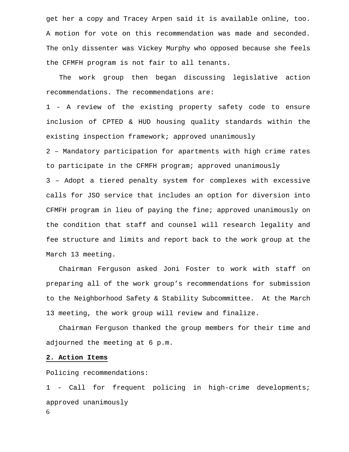get her a copy and Tracey Arpen said it is available online, too. A motion for vote on this recommendation was made and seconded. The only dissenter was Vickey Murphy who opposed because she feels the CFMFH program is not fair to all tenants.

 The work group then began discussing legislative action recommendations. The recommendations are:

1 - A review of the existing property safety code to ensure inclusion of CPTED & HUD housing quality standards within the existing inspection framework; approved unanimously

2 – Mandatory participation for apartments with high crime rates to participate in the CFMFH program; approved unanimously 3 – Adopt a tiered penalty system for complexes with excessive calls for JSO service that includes an option for diversion into CFMFH program in lieu of paying the fine; approved unanimously on the condition that staff and counsel will research legality and fee structure and limits and report back to the work group at the March 13 meeting.

 Chairman Ferguson asked Joni Foster to work with staff on preparing all of the work group's recommendations for submission to the Neighborhood Safety & Stability Subcommittee. At the March 13 meeting, the work group will review and finalize.

 Chairman Ferguson thanked the group members for their time and adjourned the meeting at 6 p.m.

#### **2. Action Items**

Policing recommendations:

6 1 - Call for frequent policing in high-crime developments; approved unanimously